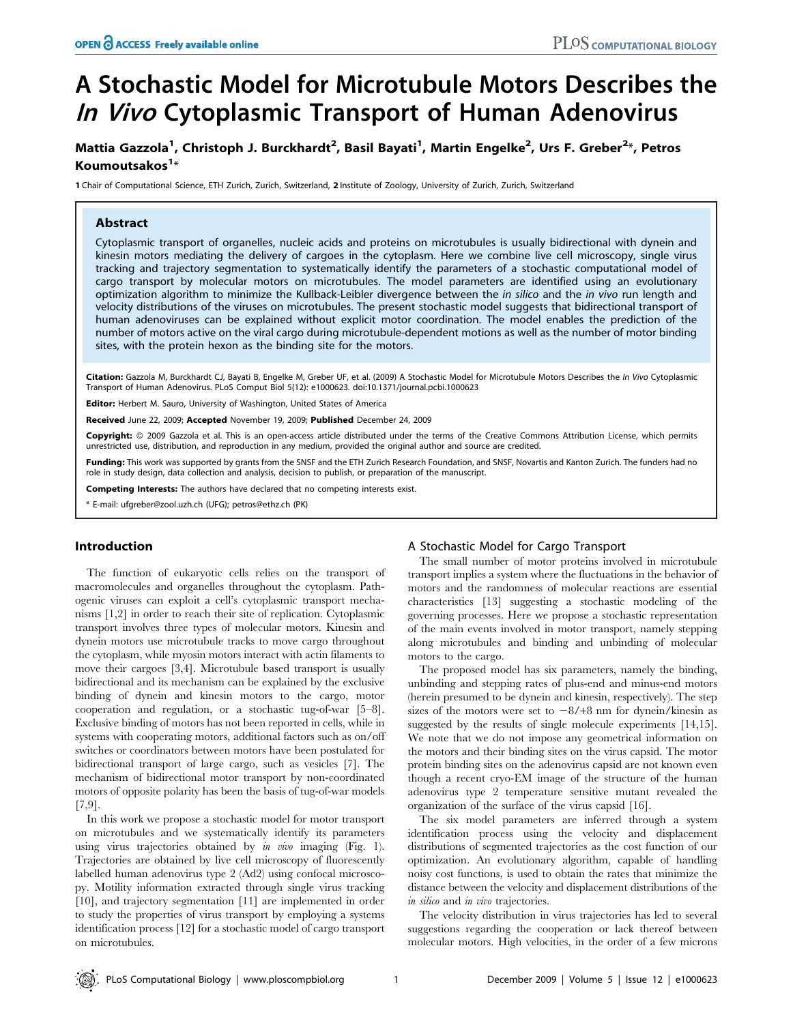# A Stochastic Model for Microtubule Motors Describes the In Vivo Cytoplasmic Transport of Human Adenovirus

# Mattia Gazzola<sup>1</sup>, Christoph J. Burckhardt<sup>2</sup>, Basil Bayati<sup>1</sup>, Martin Engelke<sup>2</sup>, Urs F. Greber<sup>2</sup>\*, Petros Koumoutsakos<sup>1</sup>\*

1 Chair of Computational Science, ETH Zurich, Zurich, Switzerland, 2 Institute of Zoology, University of Zurich, Zurich, Switzerland

# Abstract

Cytoplasmic transport of organelles, nucleic acids and proteins on microtubules is usually bidirectional with dynein and kinesin motors mediating the delivery of cargoes in the cytoplasm. Here we combine live cell microscopy, single virus tracking and trajectory segmentation to systematically identify the parameters of a stochastic computational model of cargo transport by molecular motors on microtubules. The model parameters are identified using an evolutionary optimization algorithm to minimize the Kullback-Leibler divergence between the in silico and the in vivo run length and velocity distributions of the viruses on microtubules. The present stochastic model suggests that bidirectional transport of human adenoviruses can be explained without explicit motor coordination. The model enables the prediction of the number of motors active on the viral cargo during microtubule-dependent motions as well as the number of motor binding sites, with the protein hexon as the binding site for the motors.

Citation: Gazzola M, Burckhardt CJ, Bayati B, Engelke M, Greber UF, et al. (2009) A Stochastic Model for Microtubule Motors Describes the In Vivo Cytoplasmic Transport of Human Adenovirus. PLoS Comput Biol 5(12): e1000623. doi:10.1371/journal.pcbi.1000623

Editor: Herbert M. Sauro, University of Washington, United States of America

Received June 22, 2009; Accepted November 19, 2009; Published December 24, 2009

Copyright: @ 2009 Gazzola et al. This is an open-access article distributed under the terms of the Creative Commons Attribution License, which permits unrestricted use, distribution, and reproduction in any medium, provided the original author and source are credited.

Funding: This work was supported by grants from the SNSF and the ETH Zurich Research Foundation, and SNSF, Novartis and Kanton Zurich. The funders had no role in study design, data collection and analysis, decision to publish, or preparation of the manuscript.

Competing Interests: The authors have declared that no competing interests exist.

\* E-mail: ufgreber@zool.uzh.ch (UFG); petros@ethz.ch (PK)

# Introduction

The function of eukaryotic cells relies on the transport of macromolecules and organelles throughout the cytoplasm. Pathogenic viruses can exploit a cell's cytoplasmic transport mechanisms [1,2] in order to reach their site of replication. Cytoplasmic transport involves three types of molecular motors. Kinesin and dynein motors use microtubule tracks to move cargo throughout the cytoplasm, while myosin motors interact with actin filaments to move their cargoes [3,4]. Microtubule based transport is usually bidirectional and its mechanism can be explained by the exclusive binding of dynein and kinesin motors to the cargo, motor cooperation and regulation, or a stochastic tug-of-war [5–8]. Exclusive binding of motors has not been reported in cells, while in systems with cooperating motors, additional factors such as on/off switches or coordinators between motors have been postulated for bidirectional transport of large cargo, such as vesicles [7]. The mechanism of bidirectional motor transport by non-coordinated motors of opposite polarity has been the basis of tug-of-war models [7,9].

In this work we propose a stochastic model for motor transport on microtubules and we systematically identify its parameters using virus trajectories obtained by in vivo imaging (Fig. 1). Trajectories are obtained by live cell microscopy of fluorescently labelled human adenovirus type 2 (Ad2) using confocal microscopy. Motility information extracted through single virus tracking [10], and trajectory segmentation [11] are implemented in order to study the properties of virus transport by employing a systems identification process [12] for a stochastic model of cargo transport on microtubules.

#### A Stochastic Model for Cargo Transport

The small number of motor proteins involved in microtubule transport implies a system where the fluctuations in the behavior of motors and the randomness of molecular reactions are essential characteristics [13] suggesting a stochastic modeling of the governing processes. Here we propose a stochastic representation of the main events involved in motor transport, namely stepping along microtubules and binding and unbinding of molecular motors to the cargo.

The proposed model has six parameters, namely the binding, unbinding and stepping rates of plus-end and minus-end motors (herein presumed to be dynein and kinesin, respectively). The step sizes of the motors were set to  $-8/+8$  nm for dynein/kinesin as suggested by the results of single molecule experiments [14,15]. We note that we do not impose any geometrical information on the motors and their binding sites on the virus capsid. The motor protein binding sites on the adenovirus capsid are not known even though a recent cryo-EM image of the structure of the human adenovirus type 2 temperature sensitive mutant revealed the organization of the surface of the virus capsid [16].

The six model parameters are inferred through a system identification process using the velocity and displacement distributions of segmented trajectories as the cost function of our optimization. An evolutionary algorithm, capable of handling noisy cost functions, is used to obtain the rates that minimize the distance between the velocity and displacement distributions of the in silico and in vivo trajectories.

The velocity distribution in virus trajectories has led to several suggestions regarding the cooperation or lack thereof between molecular motors. High velocities, in the order of a few microns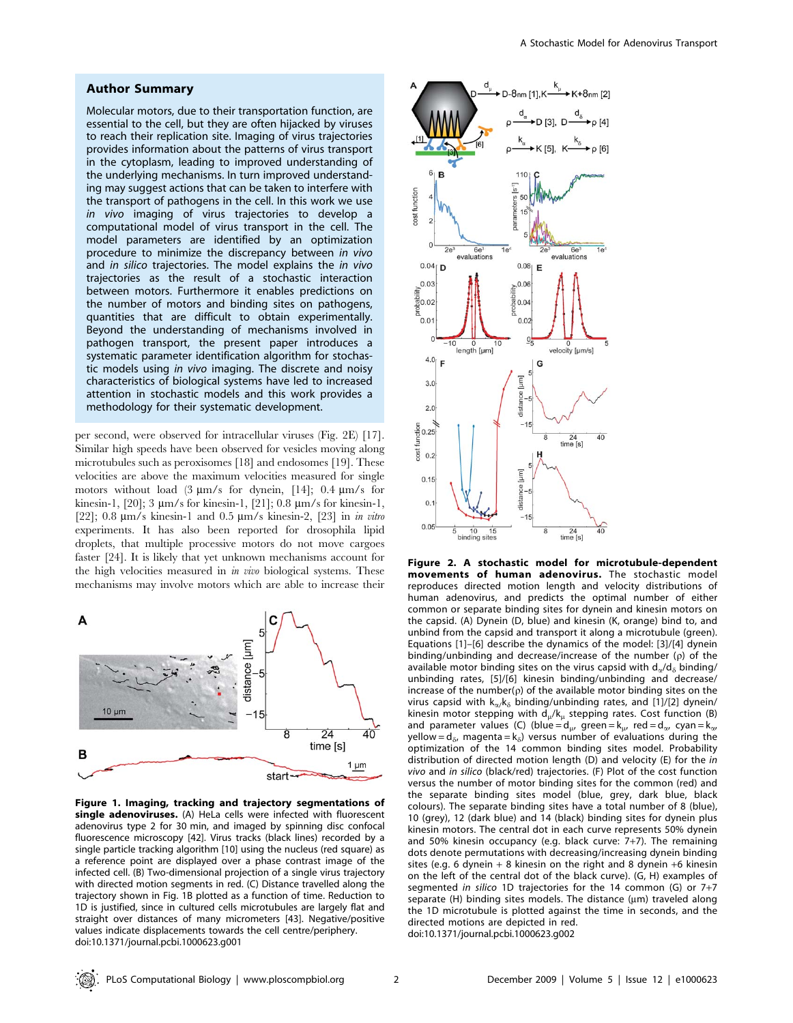#### Author Summary

Molecular motors, due to their transportation function, are essential to the cell, but they are often hijacked by viruses to reach their replication site. Imaging of virus trajectories provides information about the patterns of virus transport in the cytoplasm, leading to improved understanding of the underlying mechanisms. In turn improved understanding may suggest actions that can be taken to interfere with the transport of pathogens in the cell. In this work we use in vivo imaging of virus trajectories to develop a computational model of virus transport in the cell. The model parameters are identified by an optimization procedure to minimize the discrepancy between in vivo and in silico trajectories. The model explains the in vivo trajectories as the result of a stochastic interaction between motors. Furthermore it enables predictions on the number of motors and binding sites on pathogens, quantities that are difficult to obtain experimentally. Beyond the understanding of mechanisms involved in pathogen transport, the present paper introduces a systematic parameter identification algorithm for stochastic models using in vivo imaging. The discrete and noisy characteristics of biological systems have led to increased attention in stochastic models and this work provides a methodology for their systematic development.

per second, were observed for intracellular viruses (Fig. 2E) [17]. Similar high speeds have been observed for vesicles moving along microtubules such as peroxisomes [18] and endosomes [19]. These velocities are above the maximum velocities measured for single motors without load  $(3 \mu m/s)$  for dynein, [14]; 0.4  $\mu m/s$  for kinesin-1, [20]; 3  $\mu$ m/s for kinesin-1, [21]; 0.8  $\mu$ m/s for kinesin-1, [22];  $0.8 \mu m/s$  kinesin-1 and  $0.5 \mu m/s$  kinesin-2, [23] in *in vitro* experiments. It has also been reported for drosophila lipid droplets, that multiple processive motors do not move cargoes faster [24]. It is likely that yet unknown mechanisms account for the high velocities measured in in vivo biological systems. These mechanisms may involve motors which are able to increase their



Figure 1. Imaging, tracking and trajectory segmentations of single adenoviruses. (A) HeLa cells were infected with fluorescent adenovirus type 2 for 30 min, and imaged by spinning disc confocal fluorescence microscopy [42]. Virus tracks (black lines) recorded by a single particle tracking algorithm [10] using the nucleus (red square) as a reference point are displayed over a phase contrast image of the infected cell. (B) Two-dimensional projection of a single virus trajectory with directed motion segments in red. (C) Distance travelled along the trajectory shown in Fig. 1B plotted as a function of time. Reduction to 1D is justified, since in cultured cells microtubules are largely flat and straight over distances of many micrometers [43]. Negative/positive values indicate displacements towards the cell centre/periphery. doi:10.1371/journal.pcbi.1000623.g001



Figure 2. A stochastic model for microtubule-dependent movements of human adenovirus. The stochastic model reproduces directed motion length and velocity distributions of human adenovirus, and predicts the optimal number of either common or separate binding sites for dynein and kinesin motors on the capsid. (A) Dynein (D, blue) and kinesin (K, orange) bind to, and unbind from the capsid and transport it along a microtubule (green). Equations [1]–[6] describe the dynamics of the model: [3]/[4] dynein binding/unbinding and decrease/increase of the number ( $\rho$ ) of the available motor binding sites on the virus capsid with  $d_{\alpha}/d_{\delta}$  binding/ unbinding rates, [5]/[6] kinesin binding/unbinding and decrease/ increase of the number( $\rho$ ) of the available motor binding sites on the virus capsid with  $k_{\alpha}/k_{\delta}$  binding/unbinding rates, and [1]/[2] dynein/ kinesin motor stepping with  $d<sub>\mu</sub>/k<sub>\mu</sub>$  stepping rates. Cost function (B) and parameter values (C) (blue =  $d_{\mu}$ , green =  $k_{\mu}$ , red =  $d_{\alpha}$ , cyan =  $k_{\alpha}$ , yellow =  $d_{\delta}$ , magenta =  $k_{\delta}$ ) versus number of evaluations during the optimization of the 14 common binding sites model. Probability distribution of directed motion length (D) and velocity (E) for the in vivo and in silico (black/red) trajectories. (F) Plot of the cost function versus the number of motor binding sites for the common (red) and the separate binding sites model (blue, grey, dark blue, black colours). The separate binding sites have a total number of 8 (blue), 10 (grey), 12 (dark blue) and 14 (black) binding sites for dynein plus kinesin motors. The central dot in each curve represents 50% dynein and 50% kinesin occupancy (e.g. black curve: 7+7). The remaining dots denote permutations with decreasing/increasing dynein binding sites (e.g. 6 dynein  $+ 8$  kinesin on the right and 8 dynein  $+6$  kinesin on the left of the central dot of the black curve). (G, H) examples of segmented in silico 1D trajectories for the 14 common (G) or 7+7 separate (H) binding sites models. The distance  $(\mu m)$  traveled along the 1D microtubule is plotted against the time in seconds, and the directed motions are depicted in red. doi:10.1371/journal.pcbi.1000623.g002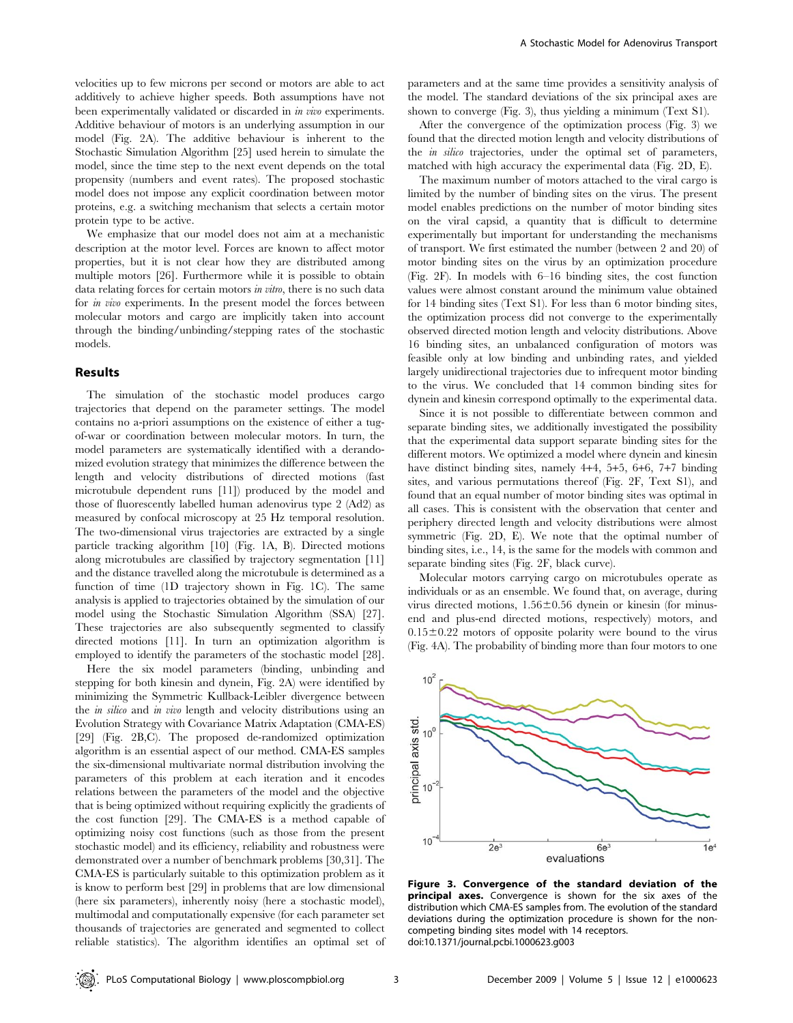velocities up to few microns per second or motors are able to act additively to achieve higher speeds. Both assumptions have not been experimentally validated or discarded in in vivo experiments. Additive behaviour of motors is an underlying assumption in our model (Fig. 2A). The additive behaviour is inherent to the Stochastic Simulation Algorithm [25] used herein to simulate the model, since the time step to the next event depends on the total propensity (numbers and event rates). The proposed stochastic model does not impose any explicit coordination between motor proteins, e.g. a switching mechanism that selects a certain motor protein type to be active.

We emphasize that our model does not aim at a mechanistic description at the motor level. Forces are known to affect motor properties, but it is not clear how they are distributed among multiple motors [26]. Furthermore while it is possible to obtain data relating forces for certain motors in vitro, there is no such data for in vivo experiments. In the present model the forces between molecular motors and cargo are implicitly taken into account through the binding/unbinding/stepping rates of the stochastic models.

# Results

The simulation of the stochastic model produces cargo trajectories that depend on the parameter settings. The model contains no a-priori assumptions on the existence of either a tugof-war or coordination between molecular motors. In turn, the model parameters are systematically identified with a derandomized evolution strategy that minimizes the difference between the length and velocity distributions of directed motions (fast microtubule dependent runs [11]) produced by the model and those of fluorescently labelled human adenovirus type 2 (Ad2) as measured by confocal microscopy at 25 Hz temporal resolution. The two-dimensional virus trajectories are extracted by a single particle tracking algorithm [10] (Fig. 1A, B). Directed motions along microtubules are classified by trajectory segmentation [11] and the distance travelled along the microtubule is determined as a function of time (1D trajectory shown in Fig. 1C). The same analysis is applied to trajectories obtained by the simulation of our model using the Stochastic Simulation Algorithm (SSA) [27]. These trajectories are also subsequently segmented to classify directed motions [11]. In turn an optimization algorithm is employed to identify the parameters of the stochastic model [28].

Here the six model parameters (binding, unbinding and stepping for both kinesin and dynein, Fig. 2A) were identified by minimizing the Symmetric Kullback-Leibler divergence between the in silico and in vivo length and velocity distributions using an Evolution Strategy with Covariance Matrix Adaptation (CMA-ES) [29] (Fig. 2B,C). The proposed de-randomized optimization algorithm is an essential aspect of our method. CMA-ES samples the six-dimensional multivariate normal distribution involving the parameters of this problem at each iteration and it encodes relations between the parameters of the model and the objective that is being optimized without requiring explicitly the gradients of the cost function [29]. The CMA-ES is a method capable of optimizing noisy cost functions (such as those from the present stochastic model) and its efficiency, reliability and robustness were demonstrated over a number of benchmark problems [30,31]. The CMA-ES is particularly suitable to this optimization problem as it is know to perform best [29] in problems that are low dimensional (here six parameters), inherently noisy (here a stochastic model), multimodal and computationally expensive (for each parameter set thousands of trajectories are generated and segmented to collect reliable statistics). The algorithm identifies an optimal set of parameters and at the same time provides a sensitivity analysis of the model. The standard deviations of the six principal axes are shown to converge (Fig. 3), thus yielding a minimum (Text S1).

After the convergence of the optimization process (Fig. 3) we found that the directed motion length and velocity distributions of the in silico trajectories, under the optimal set of parameters, matched with high accuracy the experimental data (Fig. 2D, E).

The maximum number of motors attached to the viral cargo is limited by the number of binding sites on the virus. The present model enables predictions on the number of motor binding sites on the viral capsid, a quantity that is difficult to determine experimentally but important for understanding the mechanisms of transport. We first estimated the number (between 2 and 20) of motor binding sites on the virus by an optimization procedure (Fig. 2F). In models with 6–16 binding sites, the cost function values were almost constant around the minimum value obtained for 14 binding sites (Text S1). For less than 6 motor binding sites, the optimization process did not converge to the experimentally observed directed motion length and velocity distributions. Above 16 binding sites, an unbalanced configuration of motors was feasible only at low binding and unbinding rates, and yielded largely unidirectional trajectories due to infrequent motor binding to the virus. We concluded that 14 common binding sites for dynein and kinesin correspond optimally to the experimental data.

Since it is not possible to differentiate between common and separate binding sites, we additionally investigated the possibility that the experimental data support separate binding sites for the different motors. We optimized a model where dynein and kinesin have distinct binding sites, namely 4+4, 5+5, 6+6, 7+7 binding sites, and various permutations thereof (Fig. 2F, Text S1), and found that an equal number of motor binding sites was optimal in all cases. This is consistent with the observation that center and periphery directed length and velocity distributions were almost symmetric (Fig. 2D, E). We note that the optimal number of binding sites, i.e., 14, is the same for the models with common and separate binding sites (Fig. 2F, black curve).

Molecular motors carrying cargo on microtubules operate as individuals or as an ensemble. We found that, on average, during virus directed motions,  $1.56 \pm 0.56$  dynein or kinesin (for minusend and plus-end directed motions, respectively) motors, and  $0.15\pm0.22$  motors of opposite polarity were bound to the virus (Fig. 4A). The probability of binding more than four motors to one



Figure 3. Convergence of the standard deviation of the principal axes. Convergence is shown for the six axes of the distribution which CMA-ES samples from. The evolution of the standard deviations during the optimization procedure is shown for the noncompeting binding sites model with 14 receptors. doi:10.1371/journal.pcbi.1000623.g003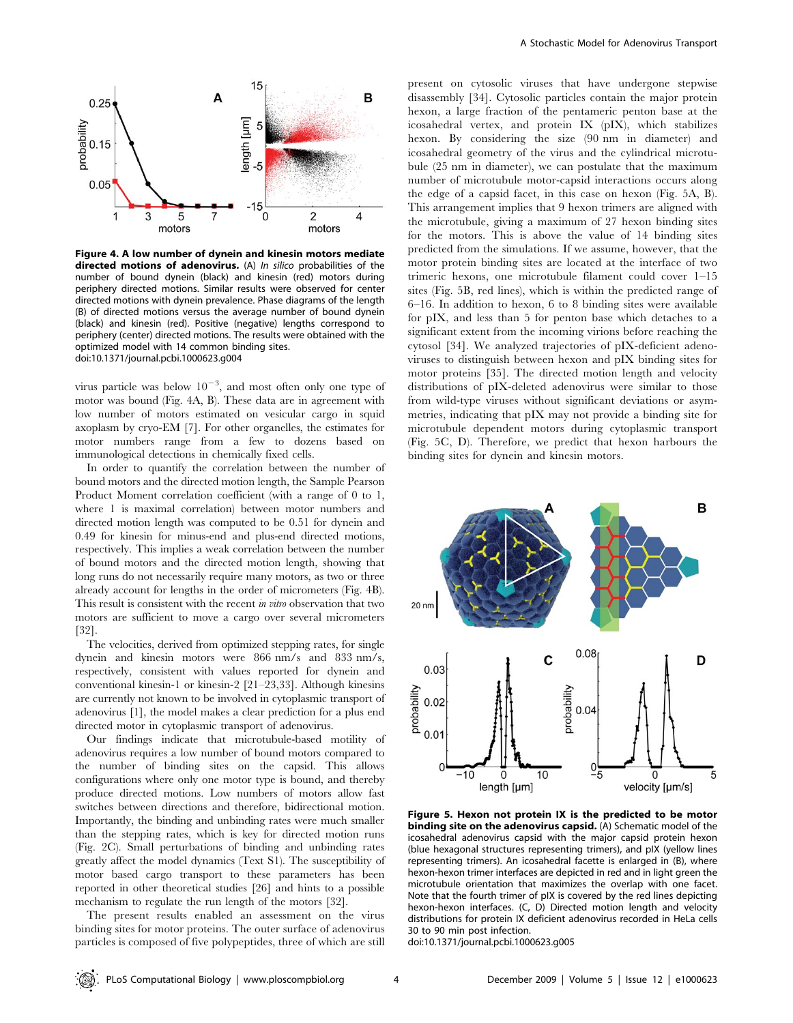

Figure 4. A low number of dynein and kinesin motors mediate directed motions of adenovirus. (A) In silico probabilities of the number of bound dynein (black) and kinesin (red) motors during periphery directed motions. Similar results were observed for center directed motions with dynein prevalence. Phase diagrams of the length (B) of directed motions versus the average number of bound dynein (black) and kinesin (red). Positive (negative) lengths correspond to periphery (center) directed motions. The results were obtained with the optimized model with 14 common binding sites. doi:10.1371/journal.pcbi.1000623.g004

virus particle was below  $10^{-3}$ , and most often only one type of motor was bound (Fig. 4A, B). These data are in agreement with low number of motors estimated on vesicular cargo in squid axoplasm by cryo-EM [7]. For other organelles, the estimates for motor numbers range from a few to dozens based on immunological detections in chemically fixed cells.

In order to quantify the correlation between the number of bound motors and the directed motion length, the Sample Pearson Product Moment correlation coefficient (with a range of 0 to 1, where 1 is maximal correlation) between motor numbers and directed motion length was computed to be 0.51 for dynein and 0.49 for kinesin for minus-end and plus-end directed motions, respectively. This implies a weak correlation between the number of bound motors and the directed motion length, showing that long runs do not necessarily require many motors, as two or three already account for lengths in the order of micrometers (Fig. 4B). This result is consistent with the recent in vitro observation that two motors are sufficient to move a cargo over several micrometers [32].

The velocities, derived from optimized stepping rates, for single dynein and kinesin motors were 866 nm/s and 833 nm/s, respectively, consistent with values reported for dynein and conventional kinesin-1 or kinesin-2 [21–23,33]. Although kinesins are currently not known to be involved in cytoplasmic transport of adenovirus [1], the model makes a clear prediction for a plus end directed motor in cytoplasmic transport of adenovirus.

Our findings indicate that microtubule-based motility of adenovirus requires a low number of bound motors compared to the number of binding sites on the capsid. This allows configurations where only one motor type is bound, and thereby produce directed motions. Low numbers of motors allow fast switches between directions and therefore, bidirectional motion. Importantly, the binding and unbinding rates were much smaller than the stepping rates, which is key for directed motion runs (Fig. 2C). Small perturbations of binding and unbinding rates greatly affect the model dynamics (Text S1). The susceptibility of motor based cargo transport to these parameters has been reported in other theoretical studies [26] and hints to a possible mechanism to regulate the run length of the motors [32].

The present results enabled an assessment on the virus binding sites for motor proteins. The outer surface of adenovirus particles is composed of five polypeptides, three of which are still present on cytosolic viruses that have undergone stepwise disassembly [34]. Cytosolic particles contain the major protein hexon, a large fraction of the pentameric penton base at the icosahedral vertex, and protein IX (pIX), which stabilizes hexon. By considering the size (90 nm in diameter) and icosahedral geometry of the virus and the cylindrical microtubule (25 nm in diameter), we can postulate that the maximum number of microtubule motor-capsid interactions occurs along the edge of a capsid facet, in this case on hexon (Fig. 5A, B). This arrangement implies that 9 hexon trimers are aligned with the microtubule, giving a maximum of 27 hexon binding sites for the motors. This is above the value of 14 binding sites predicted from the simulations. If we assume, however, that the motor protein binding sites are located at the interface of two trimeric hexons, one microtubule filament could cover 1–15 sites (Fig. 5B, red lines), which is within the predicted range of 6–16. In addition to hexon, 6 to 8 binding sites were available for pIX, and less than 5 for penton base which detaches to a significant extent from the incoming virions before reaching the cytosol [34]. We analyzed trajectories of pIX-deficient adenoviruses to distinguish between hexon and pIX binding sites for motor proteins [35]. The directed motion length and velocity distributions of pIX-deleted adenovirus were similar to those from wild-type viruses without significant deviations or asymmetries, indicating that pIX may not provide a binding site for microtubule dependent motors during cytoplasmic transport (Fig. 5C, D). Therefore, we predict that hexon harbours the binding sites for dynein and kinesin motors.



Figure 5. Hexon not protein IX is the predicted to be motor binding site on the adenovirus capsid. (A) Schematic model of the icosahedral adenovirus capsid with the major capsid protein hexon (blue hexagonal structures representing trimers), and pIX (yellow lines representing trimers). An icosahedral facette is enlarged in (B), where hexon-hexon trimer interfaces are depicted in red and in light green the microtubule orientation that maximizes the overlap with one facet. Note that the fourth trimer of pIX is covered by the red lines depicting hexon-hexon interfaces. (C, D) Directed motion length and velocity distributions for protein IX deficient adenovirus recorded in HeLa cells 30 to 90 min post infection.

doi:10.1371/journal.pcbi.1000623.g005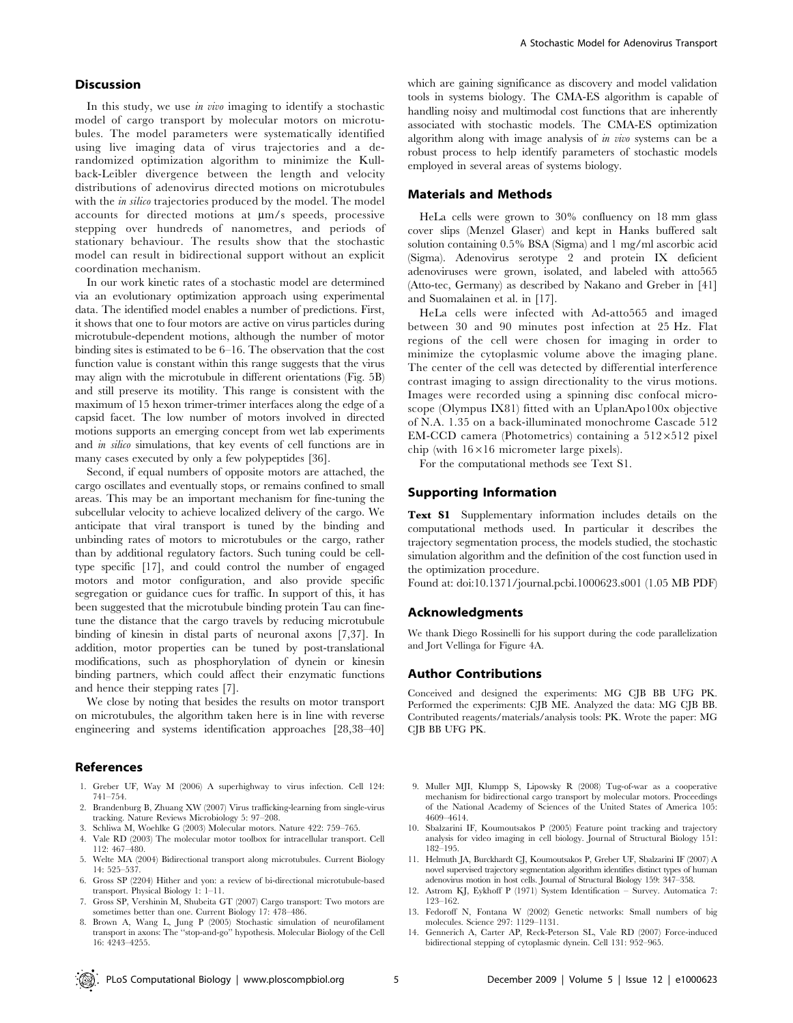### **Discussion**

In this study, we use in vivo imaging to identify a stochastic model of cargo transport by molecular motors on microtubules. The model parameters were systematically identified using live imaging data of virus trajectories and a derandomized optimization algorithm to minimize the Kullback-Leibler divergence between the length and velocity distributions of adenovirus directed motions on microtubules with the *in silico* trajectories produced by the model. The model accounts for directed motions at  $\mu$ m/s speeds, processive stepping over hundreds of nanometres, and periods of stationary behaviour. The results show that the stochastic model can result in bidirectional support without an explicit coordination mechanism.

In our work kinetic rates of a stochastic model are determined via an evolutionary optimization approach using experimental data. The identified model enables a number of predictions. First, it shows that one to four motors are active on virus particles during microtubule-dependent motions, although the number of motor binding sites is estimated to be 6–16. The observation that the cost function value is constant within this range suggests that the virus may align with the microtubule in different orientations (Fig. 5B) and still preserve its motility. This range is consistent with the maximum of 15 hexon trimer-trimer interfaces along the edge of a capsid facet. The low number of motors involved in directed motions supports an emerging concept from wet lab experiments and in silico simulations, that key events of cell functions are in many cases executed by only a few polypeptides [36].

Second, if equal numbers of opposite motors are attached, the cargo oscillates and eventually stops, or remains confined to small areas. This may be an important mechanism for fine-tuning the subcellular velocity to achieve localized delivery of the cargo. We anticipate that viral transport is tuned by the binding and unbinding rates of motors to microtubules or the cargo, rather than by additional regulatory factors. Such tuning could be celltype specific [17], and could control the number of engaged motors and motor configuration, and also provide specific segregation or guidance cues for traffic. In support of this, it has been suggested that the microtubule binding protein Tau can finetune the distance that the cargo travels by reducing microtubule binding of kinesin in distal parts of neuronal axons [7,37]. In addition, motor properties can be tuned by post-translational modifications, such as phosphorylation of dynein or kinesin binding partners, which could affect their enzymatic functions and hence their stepping rates [7].

We close by noting that besides the results on motor transport on microtubules, the algorithm taken here is in line with reverse engineering and systems identification approaches [28,38–40]

# References

- 1. Greber UF, Way M (2006) A superhighway to virus infection. Cell 124: 741–754.
- 2. Brandenburg B, Zhuang XW (2007) Virus trafficking-learning from single-virus tracking. Nature Reviews Microbiology 5: 97–208.
- 3. Schliwa M, Woehlke G (2003) Molecular motors. Nature 422: 759–765. 4. Vale RD (2003) The molecular motor toolbox for intracellular transport. Cell 112: 467–480.
- 5. Welte MA (2004) Bidirectional transport along microtubules. Current Biology 14: 525–537.
- 6. Gross SP (2204) Hither and yon: a review of bi-directional microtubule-based transport. Physical Biology 1: 1–11.
- 7. Gross SP, Vershinin M, Shubeita GT (2007) Cargo transport: Two motors are sometimes better than one. Current Biology 17: 478–486.
- 8. Brown A, Wang L, Jung P (2005) Stochastic simulation of neurofilament transport in axons: The ''stop-and-go'' hypothesis. Molecular Biology of the Cell 16: 4243–4255.

which are gaining significance as discovery and model validation tools in systems biology. The CMA-ES algorithm is capable of handling noisy and multimodal cost functions that are inherently associated with stochastic models. The CMA-ES optimization algorithm along with image analysis of in vivo systems can be a robust process to help identify parameters of stochastic models employed in several areas of systems biology.

#### Materials and Methods

HeLa cells were grown to 30% confluency on 18 mm glass cover slips (Menzel Glaser) and kept in Hanks buffered salt solution containing 0.5% BSA (Sigma) and 1 mg/ml ascorbic acid (Sigma). Adenovirus serotype 2 and protein IX deficient adenoviruses were grown, isolated, and labeled with atto565 (Atto-tec, Germany) as described by Nakano and Greber in [41] and Suomalainen et al. in [17].

HeLa cells were infected with Ad-atto565 and imaged between 30 and 90 minutes post infection at 25 Hz. Flat regions of the cell were chosen for imaging in order to minimize the cytoplasmic volume above the imaging plane. The center of the cell was detected by differential interference contrast imaging to assign directionality to the virus motions. Images were recorded using a spinning disc confocal microscope (Olympus IX81) fitted with an UplanApo100x objective of N.A. 1.35 on a back-illuminated monochrome Cascade 512  $EM-CCD$  camera (Photometrics) containing a  $512\times512$  pixel chip (with  $16\times16$  micrometer large pixels).

For the computational methods see Text S1.

#### Supporting Information

Text S1 Supplementary information includes details on the computational methods used. In particular it describes the trajectory segmentation process, the models studied, the stochastic simulation algorithm and the definition of the cost function used in the optimization procedure.

Found at: doi:10.1371/journal.pcbi.1000623.s001 (1.05 MB PDF)

### Acknowledgments

We thank Diego Rossinelli for his support during the code parallelization and Jort Vellinga for Figure 4A.

#### Author Contributions

Conceived and designed the experiments: MG CJB BB UFG PK. Performed the experiments: CJB ME. Analyzed the data: MG CJB BB. Contributed reagents/materials/analysis tools: PK. Wrote the paper: MG CJB BB UFG PK.

- 9. Muller MJI, Klumpp S, Lipowsky R (2008) Tug-of-war as a cooperative mechanism for bidirectional cargo transport by molecular motors. Proceedings of the National Academy of Sciences of the United States of America 105: 4609–4614.
- 10. Sbalzarini IF, Koumoutsakos P (2005) Feature point tracking and trajectory analysis for video imaging in cell biology. Journal of Structural Biology 151: 182–195.
- 11. Helmuth JA, Burckhardt CJ, Koumoutsakos P, Greber UF, Sbalzarini IF (2007) A novel supervised trajectory segmentation algorithm identifies distinct types of human adenovirus motion in host cells. Journal of Structural Biology 159: 347–358.
- 12. Astrom KJ, Eykhoff P (1971) System Identification Survey. Automatica 7: 123–162.
- 13. Fedoroff N, Fontana W (2002) Genetic networks: Small numbers of big molecules. Science 297: 1129–1131.
- 14. Gennerich A, Carter AP, Reck-Peterson SL, Vale RD (2007) Force-induced bidirectional stepping of cytoplasmic dynein. Cell 131: 952–965.